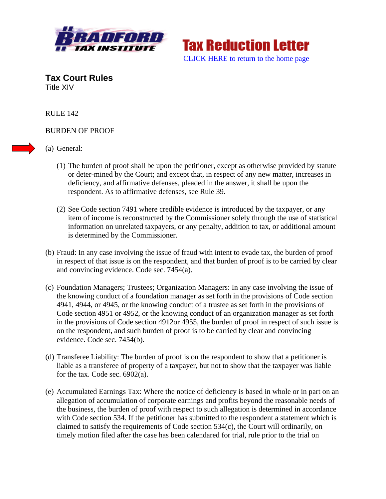



**Tax Court Rules**  Title XIV

RULE 142

## BURDEN OF PROOF

(a) General:

- (1) The burden of proof shall be upon the petitioner, except as otherwise provided by statute or deter-mined by the Court; and except that, in respect of any new matter, increases in deficiency, and affirmative defenses, pleaded in the answer, it shall be upon the respondent. As to affirmative defenses, see Rule 39.
- (2) See Code section 7491 where credible evidence is introduced by the taxpayer, or any item of income is reconstructed by the Commissioner solely through the use of statistical information on unrelated taxpayers, or any penalty, addition to tax, or additional amount is determined by the Commissioner.
- (b) Fraud: In any case involving the issue of fraud with intent to evade tax, the burden of proof in respect of that issue is on the respondent, and that burden of proof is to be carried by clear and convincing evidence. Code sec. 7454(a).
- (c) Foundation Managers; Trustees; Organization Managers: In any case involving the issue of the knowing conduct of a foundation manager as set forth in the provisions of Code section 4941, 4944, or 4945, or the knowing conduct of a trustee as set forth in the provisions of Code section 4951 or 4952, or the knowing conduct of an organization manager as set forth in the provisions of Code section 4912or 4955, the burden of proof in respect of such issue is on the respondent, and such burden of proof is to be carried by clear and convincing evidence. Code sec. 7454(b).
- (d) Transferee Liability: The burden of proof is on the respondent to show that a petitioner is liable as a transferee of property of a taxpayer, but not to show that the taxpayer was liable for the tax. Code sec. 6902(a).
- (e) Accumulated Earnings Tax: Where the notice of deficiency is based in whole or in part on an allegation of accumulation of corporate earnings and profits beyond the reasonable needs of the business, the burden of proof with respect to such allegation is determined in accordance with Code section 534. If the petitioner has submitted to the respondent a statement which is claimed to satisfy the requirements of Code section 534(c), the Court will ordinarily, on timely motion filed after the case has been calendared for trial, rule prior to the trial on